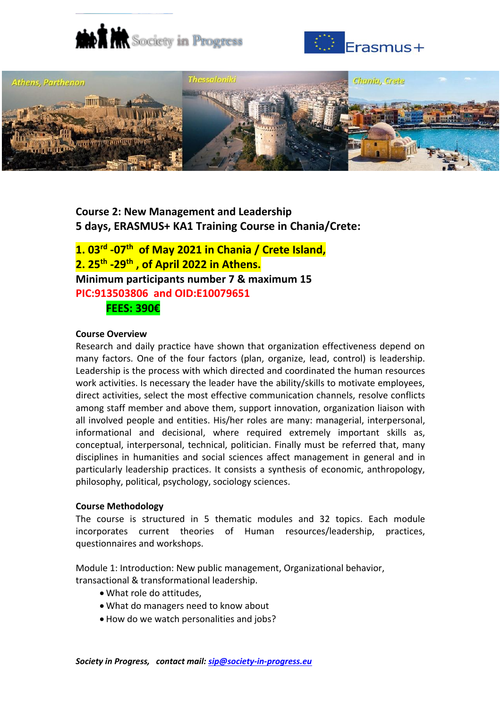





# **Course 2: New Management and Leadership 5 days, ERASMUS+ KA1 Training Course in Chania/Crete:**

**1. 03rd -07th of Μay 2021 in Chania / Crete Island, 2. 25th -29th , of April 2022 in Athens. Minimum participants number 7 & maximum 15 PIC:913503806 and OID:E10079651 FEES: 390€**

#### **Course Overview**

Research and daily practice have shown that organization effectiveness depend on many factors. One of the four factors (plan, organize, lead, control) is leadership. Leadership is the process with which directed and coordinated the human resources work activities. Is necessary the leader have the ability/skills to motivate employees, direct activities, select the most effective communication channels, resolve conflicts among staff member and above them, support innovation, organization liaison with all involved people and entities. His/her roles are many: managerial, interpersonal, informational and decisional, where required extremely important skills as, conceptual, interpersonal, technical, politician. Finally must be referred that, many disciplines in humanities and social sciences affect management in general and in particularly leadership practices. It consists a synthesis of economic, anthropology, philosophy, political, psychology, sociology sciences.

#### **Course Methodology**

The course is structured in 5 thematic modules and 32 topics. Each module incorporates current theories of Human resources/leadership, practices, questionnaires and workshops.

Module 1: Introduction: New public management, Organizational behavior, transactional & transformational leadership.

- What role do attitudes,
- What do managers need to know about
- How do we watch personalities and jobs?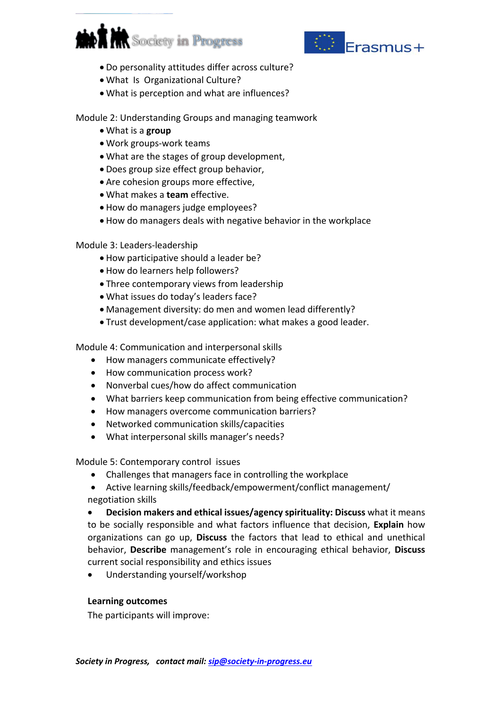



- Do personality attitudes differ across culture?
- What Is Organizational Culture?
- What is perception and what are influences?

Module 2: Understanding Groups and managing teamwork

- What is a **group**
- Work groups-work teams
- What are the stages of group development,
- Does group size effect group behavior,
- Are cohesion groups more effective,
- What makes a **team** effective.
- How do managers judge employees?
- How do managers deals with negative behavior in the workplace

## Module 3: Leaders-leadership

- How participative should a leader be?
- How do learners help followers?
- Three contemporary views from leadership
- What issues do today's leaders face?
- Management diversity: do men and women lead differently?
- Trust development/case application: what makes a good leader.

Module 4: Communication and interpersonal skills

- How managers communicate effectively?
- How communication process work?
- Nonverbal cues/how do affect communication
- What barriers keep communication from being effective communication?
- How managers overcome communication barriers?
- Networked communication skills/capacities
- What interpersonal skills manager's needs?

Module 5: Contemporary control issues

- Challenges that managers face in controlling the workplace
- Active learning skills/feedback/empowerment/conflict management/ negotiation skills

 **Decision makers and ethical issues/agency spirituality: Discuss** what it means to be socially responsible and what factors influence that decision, **Explain** how organizations can go up, **Discuss** the factors that lead to ethical and unethical behavior, **Describe** management's role in encouraging ethical behavior, **Discuss**  current social responsibility and ethics issues

Understanding yourself/workshop

## **Learning outcomes**

The participants will improve: